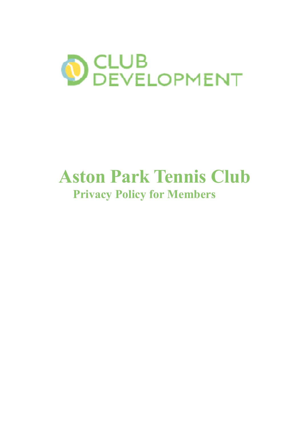

# **Aston Park Tennis Club Privacy Policy for Members**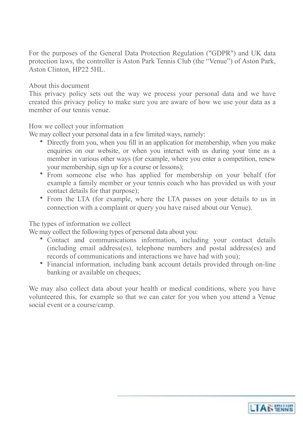For the purposes of the General Data Protection Regulation ("GDPR") and UK data protection laws, the controller is Aston Park Tennis Club (the "Venue") of Aston Park, Aston Clinton, HP22 5HL.

About this document

This privacy policy sets out the way we process your personal data and we have created this privacy policy to make sure you are aware of how we use your data as a member of our tennis venue.

How we collect your information

We may collect your personal data in a few limited ways, namely:

- Directly from you, when you fill in an application for membership, when you make enquiries on our website, or when you interact with us during your time as a member in various other ways (for example, where you enter a competition, renew your membership, sign up for a course or lessons);
- From someone else who has applied for membership on your behalf (for example a family member or your tennis coach who has provided us with your contact details for that purpose);
- From the LTA (for example, where the LTA passes on your details to us in connection with a complaint or query you have raised about our Venue).

# The types of information we collect

We may collect the following types of personal data about you:

- Contact and communications information, including your contact details (including email address(es), telephone numbers and postal address(es) and records of communications and interactions we have had with you);
- Financial information, including bank account details provided through on-line banking or available on cheques;

We may also collect data about your health or medical conditions, where you have volunteered this, for example so that we can cater for you when you attend a Venue social event or a course/camp.

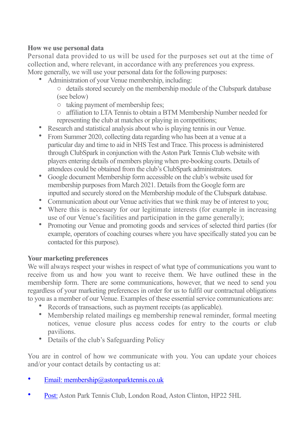### **How we use personal data**

Personal data provided to us will be used for the purposes set out at the time of collection and, where relevant, in accordance with any preferences you express.

More generally, we will use your personal data for the following purposes:

- Administration of your Venue membership, including:
	- o details stored securely on the membership module of the Clubspark database (see below)
	- o taking payment of membership fees;
	- o affiliation to LTA Tennis to obtain a BTM Membership Number needed for representing the club at matches or playing in competitions;
- Research and statistical analysis about who is playing tennis in our Venue.
- From Summer 2020, collecting data regarding who has been at a venue at a particular day and time to aid in NHS Test and Trace. This process is administered through ClubSpark in conjunction with the Aston Park Tennis Club website with players entering details of members playing when pre-booking courts. Details of attendees could be obtained from the club's ClubSpark administrators.
- Google document Membership form accessible on the club's website used for membership purposes from March 2021. Details from the Google form are inputted and securely stored on the Membership module of the Clubspark database.
- Communication about our Venue activities that we think may be of interest to you;
- Where this is necessary for our legitimate interests (for example in increasing use of our Venue's facilities and participation in the game generally);
- Promoting our Venue and promoting goods and services of selected third parties (for example, operators of coaching courses where you have specifically stated you can be contacted for this purpose).

# **Your marketing preferences**

We will always respect your wishes in respect of what type of communications you want to receive from us and how you want to receive them. We have outlined these in the membership form. There are some communications, however, that we need to send you regardless of your marketing preferences in order for us to fulfil our contractual obligations to you as a member of our Venue. Examples of these essential service communications are:

- Records of transactions, such as payment receipts (as applicable).
- Membership related mailings eg membership renewal reminder, formal meeting notices, venue closure plus access codes for entry to the courts or club pavilions.
- Details of the club's Safeguarding Policy

You are in control of how we communicate with you. You can update your choices and/or your contact details by contacting us at:

- Email: membership@astonparktennis.co.uk
- Post: Aston Park Tennis Club, London Road, Aston Clinton, HP22 5HL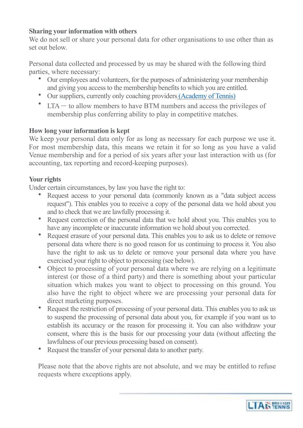### **Sharing your information with others**

We do not sell or share your personal data for other organisations to use other than as set out below.

Personal data collected and processed by us may be shared with the following third parties, where necessary:

- Our employees and volunteers, for the purposes of administering your membership and giving you access to the membership benefits to which you are entitled.
- Our suppliers, currently only coaching providers (Academy of Tennis)
- LTA to allow members to have BTM numbers and access the privileges of membership plus conferring ability to play in competitive matches.

#### **How long your information is kept**

We keep your personal data only for as long as necessary for each purpose we use it. For most membership data, this means we retain it for so long as you have a valid Venue membership and for a period of six years after your last interaction with us (for accounting, tax reporting and record-keeping purposes).

#### **Your rights**

Under certain circumstances, by law you have the right to:

- Request access to your personal data (commonly known as a "data subject access" request"). This enables you to receive a copy of the personal data we hold about you and to check that we are lawfully processing it.
- Request correction of the personal data that we hold about you. This enables you to have any incomplete or inaccurate information we hold about you corrected.
- Request erasure of your personal data. This enables you to ask us to delete or remove personal data where there is no good reason for us continuing to process it. You also have the right to ask us to delete or remove your personal data where you have exercised your right to object to processing (see below).
- Object to processing of your personal data where we are relying on a legitimate interest (or those of a third party) and there is something about your particular situation which makes you want to object to processing on this ground. You also have the right to object where we are processing your personal data for direct marketing purposes.
- Request the restriction of processing of your personal data. This enables you to ask us to suspend the processing of personal data about you, for example if you want us to establish its accuracy or the reason for processing it. You can also withdraw your consent, where this is the basis for our processing your data (without affecting the lawfulness of our previous processing based on consent).
- Request the transfer of your personal data to another party.

Please note that the above rights are not absolute, and we may be entitled to refuse requests where exceptions apply.